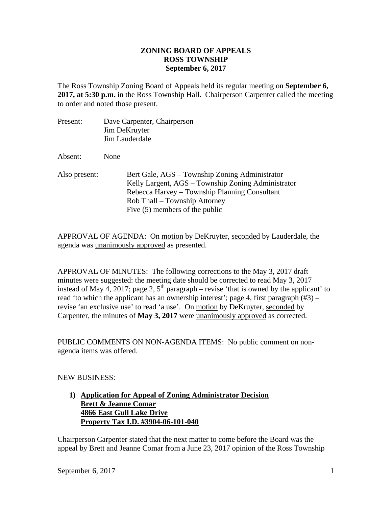## **ZONING BOARD OF APPEALS ROSS TOWNSHIP September 6, 2017**

The Ross Township Zoning Board of Appeals held its regular meeting on **September 6, 2017, at 5:30 p.m.** in the Ross Township Hall. Chairperson Carpenter called the meeting to order and noted those present.

| Present:      | Dave Carpenter, Chairperson<br>Jim DeKruyter<br>Jim Lauderdale                                                                                                                                                             |
|---------------|----------------------------------------------------------------------------------------------------------------------------------------------------------------------------------------------------------------------------|
| Absent:       | None                                                                                                                                                                                                                       |
| Also present: | Bert Gale, AGS – Township Zoning Administrator<br>Kelly Largent, AGS – Township Zoning Administrator<br>Rebecca Harvey – Township Planning Consultant<br>Rob Thall – Township Attorney<br>Five $(5)$ members of the public |

APPROVAL OF AGENDA: On motion by DeKruyter, seconded by Lauderdale, the agenda was unanimously approved as presented.

APPROVAL OF MINUTES: The following corrections to the May 3, 2017 draft minutes were suggested: the meeting date should be corrected to read May 3, 2017 instead of May 4, 2017; page 2,  $5<sup>th</sup>$  paragraph – revise 'that is owned by the applicant' to read 'to which the applicant has an ownership interest'; page 4, first paragraph  $(\#3)$  – revise 'an exclusive use' to read 'a use'. On motion by DeKruyter, seconded by Carpenter, the minutes of **May 3, 2017** were unanimously approved as corrected.

PUBLIC COMMENTS ON NON-AGENDA ITEMS: No public comment on nonagenda items was offered.

NEW BUSINESS:

## **1) Application for Appeal of Zoning Administrator Decision Brett & Jeanne Comar 4866 East Gull Lake Drive Property Tax I.D. #3904-06-101-040**

Chairperson Carpenter stated that the next matter to come before the Board was the appeal by Brett and Jeanne Comar from a June 23, 2017 opinion of the Ross Township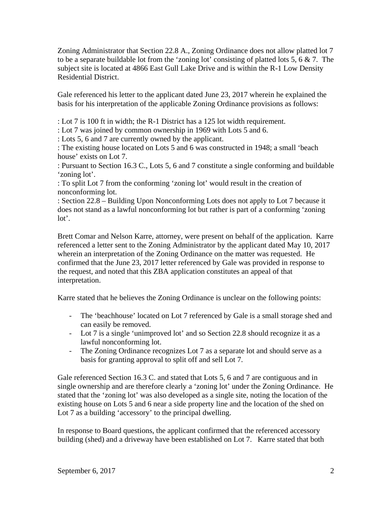Zoning Administrator that Section 22.8 A., Zoning Ordinance does not allow platted lot 7 to be a separate buildable lot from the 'zoning lot' consisting of platted lots 5, 6  $\&$  7. The subject site is located at 4866 East Gull Lake Drive and is within the R-1 Low Density Residential District.

Gale referenced his letter to the applicant dated June 23, 2017 wherein he explained the basis for his interpretation of the applicable Zoning Ordinance provisions as follows:

: Lot 7 is 100 ft in width; the R-1 District has a 125 lot width requirement.

: Lot 7 was joined by common ownership in 1969 with Lots 5 and 6.

: Lots 5, 6 and 7 are currently owned by the applicant.

: The existing house located on Lots 5 and 6 was constructed in 1948; a small 'beach house' exists on Lot 7.

: Pursuant to Section 16.3 C., Lots 5, 6 and 7 constitute a single conforming and buildable 'zoning lot'.

: To split Lot 7 from the conforming 'zoning lot' would result in the creation of nonconforming lot.

: Section 22.8 – Building Upon Nonconforming Lots does not apply to Lot 7 because it does not stand as a lawful nonconforming lot but rather is part of a conforming 'zoning lot'.

Brett Comar and Nelson Karre, attorney, were present on behalf of the application. Karre referenced a letter sent to the Zoning Administrator by the applicant dated May 10, 2017 wherein an interpretation of the Zoning Ordinance on the matter was requested. He confirmed that the June 23, 2017 letter referenced by Gale was provided in response to the request, and noted that this ZBA application constitutes an appeal of that interpretation.

Karre stated that he believes the Zoning Ordinance is unclear on the following points:

- The 'beachhouse' located on Lot 7 referenced by Gale is a small storage shed and can easily be removed.
- Lot 7 is a single 'unimproved lot' and so Section 22.8 should recognize it as a lawful nonconforming lot.
- The Zoning Ordinance recognizes Lot 7 as a separate lot and should serve as a basis for granting approval to split off and sell Lot 7.

Gale referenced Section 16.3 C. and stated that Lots 5, 6 and 7 are contiguous and in single ownership and are therefore clearly a 'zoning lot' under the Zoning Ordinance. He stated that the 'zoning lot' was also developed as a single site, noting the location of the existing house on Lots 5 and 6 near a side property line and the location of the shed on Lot 7 as a building 'accessory' to the principal dwelling.

In response to Board questions, the applicant confirmed that the referenced accessory building (shed) and a driveway have been established on Lot 7. Karre stated that both